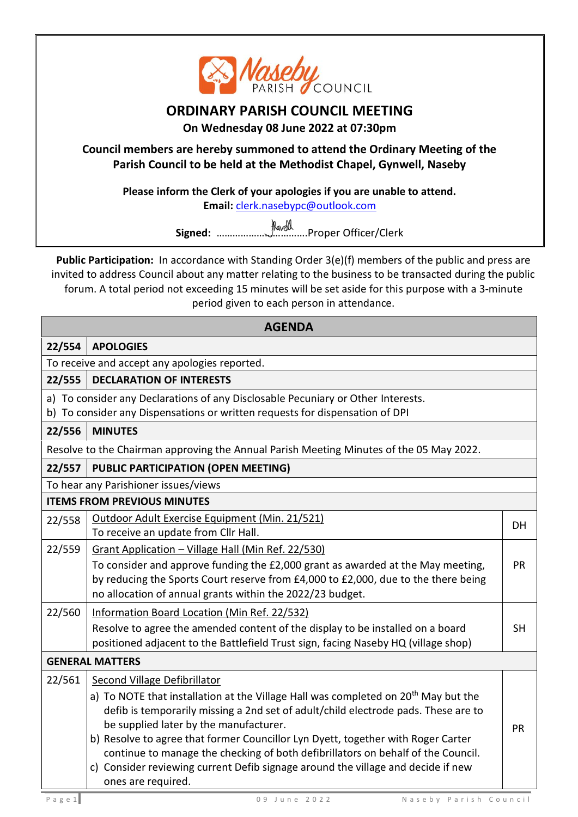

## **ORDINARY PARISH COUNCIL MEETING**

**On Wednesday 08 June 2022 at 07:30pm**

**Council members are hereby summoned to attend the Ordinary Meeting of the Parish Council to be held at the Methodist Chapel, Gynwell, Naseby**

**Please inform the Clerk of your apologies if you are unable to attend. Email:** [clerk.nasebypc@outlook.com](mailto:clerk.nasebypc@outlook.com)

**Signed:** …………………………….Proper Officer/Clerk

**Public Participation:** In accordance with Standing Order 3(e)(f) members of the public and press are invited to address Council about any matter relating to the business to be transacted during the public forum. A total period not exceeding 15 minutes will be set aside for this purpose with a 3-minute period given to each person in attendance.

| 22/554<br><b>APOLOGIES</b><br>To receive and accept any apologies reported.<br><b>DECLARATION OF INTERESTS</b><br>22/555<br>a) To consider any Declarations of any Disclosable Pecuniary or Other Interests.<br>b) To consider any Dispensations or written requests for dispensation of DPI<br><b>MINUTES</b><br>22/556<br>Resolve to the Chairman approving the Annual Parish Meeting Minutes of the 05 May 2022.<br><b>PUBLIC PARTICIPATION (OPEN MEETING)</b><br>22/557<br>To hear any Parishioner issues/views<br><b>ITEMS FROM PREVIOUS MINUTES</b><br>Outdoor Adult Exercise Equipment (Min. 21/521)<br>22/558<br>DH<br>To receive an update from Cllr Hall.<br>22/559<br>Grant Application - Village Hall (Min Ref. 22/530)<br>To consider and approve funding the £2,000 grant as awarded at the May meeting,<br><b>PR</b><br>by reducing the Sports Court reserve from £4,000 to £2,000, due to the there being<br>no allocation of annual grants within the 2022/23 budget.<br>22/560<br>Information Board Location (Min Ref. 22/532)<br>Resolve to agree the amended content of the display to be installed on a board<br><b>SH</b><br>positioned adjacent to the Battlefield Trust sign, facing Naseby HQ (village shop)<br><b>GENERAL MATTERS</b><br>22/561<br>Second Village Defibrillator<br>a) To NOTE that installation at the Village Hall was completed on 20 <sup>th</sup> May but the<br>defib is temporarily missing a 2nd set of adult/child electrode pads. These are to<br>be supplied later by the manufacturer.<br>PR<br>b) Resolve to agree that former Councillor Lyn Dyett, together with Roger Carter<br>continue to manage the checking of both defibrillators on behalf of the Council. | <b>AGENDA</b> |                                                                                  |  |  |  |  |
|---------------------------------------------------------------------------------------------------------------------------------------------------------------------------------------------------------------------------------------------------------------------------------------------------------------------------------------------------------------------------------------------------------------------------------------------------------------------------------------------------------------------------------------------------------------------------------------------------------------------------------------------------------------------------------------------------------------------------------------------------------------------------------------------------------------------------------------------------------------------------------------------------------------------------------------------------------------------------------------------------------------------------------------------------------------------------------------------------------------------------------------------------------------------------------------------------------------------------------------------------------------------------------------------------------------------------------------------------------------------------------------------------------------------------------------------------------------------------------------------------------------------------------------------------------------------------------------------------------------------------------------------------------------------------------------------------------------------------|---------------|----------------------------------------------------------------------------------|--|--|--|--|
|                                                                                                                                                                                                                                                                                                                                                                                                                                                                                                                                                                                                                                                                                                                                                                                                                                                                                                                                                                                                                                                                                                                                                                                                                                                                                                                                                                                                                                                                                                                                                                                                                                                                                                                           |               |                                                                                  |  |  |  |  |
|                                                                                                                                                                                                                                                                                                                                                                                                                                                                                                                                                                                                                                                                                                                                                                                                                                                                                                                                                                                                                                                                                                                                                                                                                                                                                                                                                                                                                                                                                                                                                                                                                                                                                                                           |               |                                                                                  |  |  |  |  |
|                                                                                                                                                                                                                                                                                                                                                                                                                                                                                                                                                                                                                                                                                                                                                                                                                                                                                                                                                                                                                                                                                                                                                                                                                                                                                                                                                                                                                                                                                                                                                                                                                                                                                                                           |               |                                                                                  |  |  |  |  |
|                                                                                                                                                                                                                                                                                                                                                                                                                                                                                                                                                                                                                                                                                                                                                                                                                                                                                                                                                                                                                                                                                                                                                                                                                                                                                                                                                                                                                                                                                                                                                                                                                                                                                                                           |               |                                                                                  |  |  |  |  |
|                                                                                                                                                                                                                                                                                                                                                                                                                                                                                                                                                                                                                                                                                                                                                                                                                                                                                                                                                                                                                                                                                                                                                                                                                                                                                                                                                                                                                                                                                                                                                                                                                                                                                                                           |               |                                                                                  |  |  |  |  |
|                                                                                                                                                                                                                                                                                                                                                                                                                                                                                                                                                                                                                                                                                                                                                                                                                                                                                                                                                                                                                                                                                                                                                                                                                                                                                                                                                                                                                                                                                                                                                                                                                                                                                                                           |               |                                                                                  |  |  |  |  |
|                                                                                                                                                                                                                                                                                                                                                                                                                                                                                                                                                                                                                                                                                                                                                                                                                                                                                                                                                                                                                                                                                                                                                                                                                                                                                                                                                                                                                                                                                                                                                                                                                                                                                                                           |               |                                                                                  |  |  |  |  |
|                                                                                                                                                                                                                                                                                                                                                                                                                                                                                                                                                                                                                                                                                                                                                                                                                                                                                                                                                                                                                                                                                                                                                                                                                                                                                                                                                                                                                                                                                                                                                                                                                                                                                                                           |               |                                                                                  |  |  |  |  |
|                                                                                                                                                                                                                                                                                                                                                                                                                                                                                                                                                                                                                                                                                                                                                                                                                                                                                                                                                                                                                                                                                                                                                                                                                                                                                                                                                                                                                                                                                                                                                                                                                                                                                                                           |               |                                                                                  |  |  |  |  |
|                                                                                                                                                                                                                                                                                                                                                                                                                                                                                                                                                                                                                                                                                                                                                                                                                                                                                                                                                                                                                                                                                                                                                                                                                                                                                                                                                                                                                                                                                                                                                                                                                                                                                                                           |               |                                                                                  |  |  |  |  |
|                                                                                                                                                                                                                                                                                                                                                                                                                                                                                                                                                                                                                                                                                                                                                                                                                                                                                                                                                                                                                                                                                                                                                                                                                                                                                                                                                                                                                                                                                                                                                                                                                                                                                                                           |               |                                                                                  |  |  |  |  |
|                                                                                                                                                                                                                                                                                                                                                                                                                                                                                                                                                                                                                                                                                                                                                                                                                                                                                                                                                                                                                                                                                                                                                                                                                                                                                                                                                                                                                                                                                                                                                                                                                                                                                                                           |               |                                                                                  |  |  |  |  |
|                                                                                                                                                                                                                                                                                                                                                                                                                                                                                                                                                                                                                                                                                                                                                                                                                                                                                                                                                                                                                                                                                                                                                                                                                                                                                                                                                                                                                                                                                                                                                                                                                                                                                                                           |               |                                                                                  |  |  |  |  |
|                                                                                                                                                                                                                                                                                                                                                                                                                                                                                                                                                                                                                                                                                                                                                                                                                                                                                                                                                                                                                                                                                                                                                                                                                                                                                                                                                                                                                                                                                                                                                                                                                                                                                                                           |               |                                                                                  |  |  |  |  |
|                                                                                                                                                                                                                                                                                                                                                                                                                                                                                                                                                                                                                                                                                                                                                                                                                                                                                                                                                                                                                                                                                                                                                                                                                                                                                                                                                                                                                                                                                                                                                                                                                                                                                                                           |               |                                                                                  |  |  |  |  |
|                                                                                                                                                                                                                                                                                                                                                                                                                                                                                                                                                                                                                                                                                                                                                                                                                                                                                                                                                                                                                                                                                                                                                                                                                                                                                                                                                                                                                                                                                                                                                                                                                                                                                                                           |               |                                                                                  |  |  |  |  |
|                                                                                                                                                                                                                                                                                                                                                                                                                                                                                                                                                                                                                                                                                                                                                                                                                                                                                                                                                                                                                                                                                                                                                                                                                                                                                                                                                                                                                                                                                                                                                                                                                                                                                                                           |               |                                                                                  |  |  |  |  |
|                                                                                                                                                                                                                                                                                                                                                                                                                                                                                                                                                                                                                                                                                                                                                                                                                                                                                                                                                                                                                                                                                                                                                                                                                                                                                                                                                                                                                                                                                                                                                                                                                                                                                                                           |               |                                                                                  |  |  |  |  |
|                                                                                                                                                                                                                                                                                                                                                                                                                                                                                                                                                                                                                                                                                                                                                                                                                                                                                                                                                                                                                                                                                                                                                                                                                                                                                                                                                                                                                                                                                                                                                                                                                                                                                                                           |               |                                                                                  |  |  |  |  |
|                                                                                                                                                                                                                                                                                                                                                                                                                                                                                                                                                                                                                                                                                                                                                                                                                                                                                                                                                                                                                                                                                                                                                                                                                                                                                                                                                                                                                                                                                                                                                                                                                                                                                                                           |               |                                                                                  |  |  |  |  |
|                                                                                                                                                                                                                                                                                                                                                                                                                                                                                                                                                                                                                                                                                                                                                                                                                                                                                                                                                                                                                                                                                                                                                                                                                                                                                                                                                                                                                                                                                                                                                                                                                                                                                                                           |               |                                                                                  |  |  |  |  |
|                                                                                                                                                                                                                                                                                                                                                                                                                                                                                                                                                                                                                                                                                                                                                                                                                                                                                                                                                                                                                                                                                                                                                                                                                                                                                                                                                                                                                                                                                                                                                                                                                                                                                                                           |               |                                                                                  |  |  |  |  |
|                                                                                                                                                                                                                                                                                                                                                                                                                                                                                                                                                                                                                                                                                                                                                                                                                                                                                                                                                                                                                                                                                                                                                                                                                                                                                                                                                                                                                                                                                                                                                                                                                                                                                                                           |               |                                                                                  |  |  |  |  |
|                                                                                                                                                                                                                                                                                                                                                                                                                                                                                                                                                                                                                                                                                                                                                                                                                                                                                                                                                                                                                                                                                                                                                                                                                                                                                                                                                                                                                                                                                                                                                                                                                                                                                                                           |               |                                                                                  |  |  |  |  |
|                                                                                                                                                                                                                                                                                                                                                                                                                                                                                                                                                                                                                                                                                                                                                                                                                                                                                                                                                                                                                                                                                                                                                                                                                                                                                                                                                                                                                                                                                                                                                                                                                                                                                                                           |               | c) Consider reviewing current Defib signage around the village and decide if new |  |  |  |  |
| ones are required.                                                                                                                                                                                                                                                                                                                                                                                                                                                                                                                                                                                                                                                                                                                                                                                                                                                                                                                                                                                                                                                                                                                                                                                                                                                                                                                                                                                                                                                                                                                                                                                                                                                                                                        |               |                                                                                  |  |  |  |  |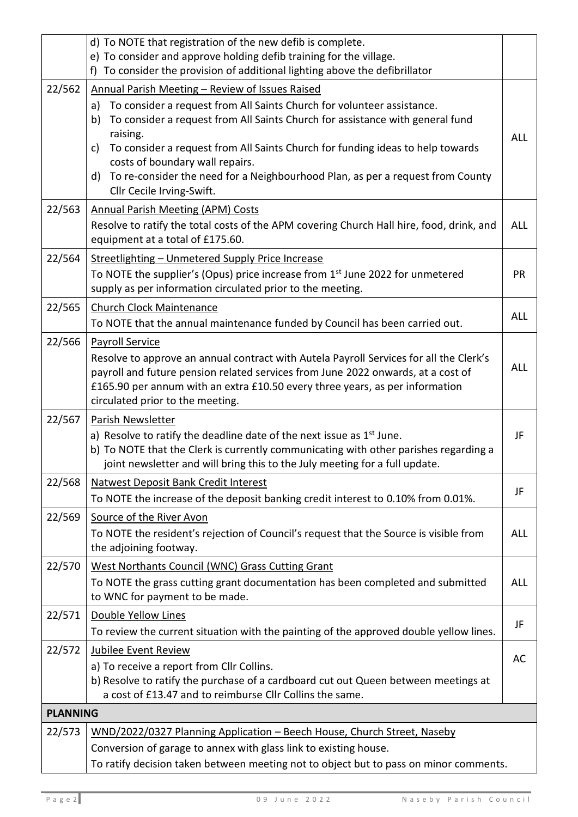|                 | d) To NOTE that registration of the new defib is complete.                                                                                                                                                                                                                                                                                                                                                                                            |            |  |  |  |
|-----------------|-------------------------------------------------------------------------------------------------------------------------------------------------------------------------------------------------------------------------------------------------------------------------------------------------------------------------------------------------------------------------------------------------------------------------------------------------------|------------|--|--|--|
|                 | e) To consider and approve holding defib training for the village.                                                                                                                                                                                                                                                                                                                                                                                    |            |  |  |  |
|                 | f) To consider the provision of additional lighting above the defibrillator                                                                                                                                                                                                                                                                                                                                                                           |            |  |  |  |
| 22/562          | Annual Parish Meeting - Review of Issues Raised<br>To consider a request from All Saints Church for volunteer assistance.<br>a)<br>To consider a request from All Saints Church for assistance with general fund<br>b)<br>raising.<br>To consider a request from All Saints Church for funding ideas to help towards<br>c)<br>costs of boundary wall repairs.<br>To re-consider the need for a Neighbourhood Plan, as per a request from County<br>d) | <b>ALL</b> |  |  |  |
|                 | Cllr Cecile Irving-Swift.                                                                                                                                                                                                                                                                                                                                                                                                                             |            |  |  |  |
| 22/563          | <b>Annual Parish Meeting (APM) Costs</b><br>Resolve to ratify the total costs of the APM covering Church Hall hire, food, drink, and<br>equipment at a total of £175.60.                                                                                                                                                                                                                                                                              |            |  |  |  |
| 22/564          | Streetlighting - Unmetered Supply Price Increase<br>To NOTE the supplier's (Opus) price increase from 1 <sup>st</sup> June 2022 for unmetered<br>supply as per information circulated prior to the meeting.                                                                                                                                                                                                                                           | <b>PR</b>  |  |  |  |
| 22/565          | <b>Church Clock Maintenance</b><br>To NOTE that the annual maintenance funded by Council has been carried out.                                                                                                                                                                                                                                                                                                                                        | ALL        |  |  |  |
| 22/566          | <b>Payroll Service</b><br>Resolve to approve an annual contract with Autela Payroll Services for all the Clerk's<br>payroll and future pension related services from June 2022 onwards, at a cost of<br>£165.90 per annum with an extra £10.50 every three years, as per information<br>circulated prior to the meeting.                                                                                                                              | <b>ALL</b> |  |  |  |
| 22/567          | Parish Newsletter<br>a) Resolve to ratify the deadline date of the next issue as $1st$ June.<br>b) To NOTE that the Clerk is currently communicating with other parishes regarding a<br>joint newsletter and will bring this to the July meeting for a full update.                                                                                                                                                                                   | JF         |  |  |  |
| 22/568          | <b>Natwest Deposit Bank Credit Interest</b><br>To NOTE the increase of the deposit banking credit interest to 0.10% from 0.01%.                                                                                                                                                                                                                                                                                                                       | JF         |  |  |  |
| 22/569          | Source of the River Avon<br>To NOTE the resident's rejection of Council's request that the Source is visible from<br>the adjoining footway.                                                                                                                                                                                                                                                                                                           | <b>ALL</b> |  |  |  |
| 22/570          | West Northants Council (WNC) Grass Cutting Grant<br>To NOTE the grass cutting grant documentation has been completed and submitted<br>to WNC for payment to be made.                                                                                                                                                                                                                                                                                  | <b>ALL</b> |  |  |  |
| 22/571          | Double Yellow Lines                                                                                                                                                                                                                                                                                                                                                                                                                                   | JF         |  |  |  |
|                 | To review the current situation with the painting of the approved double yellow lines.                                                                                                                                                                                                                                                                                                                                                                |            |  |  |  |
| 22/572          | Jubilee Event Review<br>a) To receive a report from Cllr Collins.<br>b) Resolve to ratify the purchase of a cardboard cut out Queen between meetings at<br>a cost of £13.47 and to reimburse Cllr Collins the same.                                                                                                                                                                                                                                   | AC         |  |  |  |
| <b>PLANNING</b> |                                                                                                                                                                                                                                                                                                                                                                                                                                                       |            |  |  |  |
| 22/573          | WND/2022/0327 Planning Application - Beech House, Church Street, Naseby                                                                                                                                                                                                                                                                                                                                                                               |            |  |  |  |
|                 | Conversion of garage to annex with glass link to existing house.                                                                                                                                                                                                                                                                                                                                                                                      |            |  |  |  |
|                 | To ratify decision taken between meeting not to object but to pass on minor comments.                                                                                                                                                                                                                                                                                                                                                                 |            |  |  |  |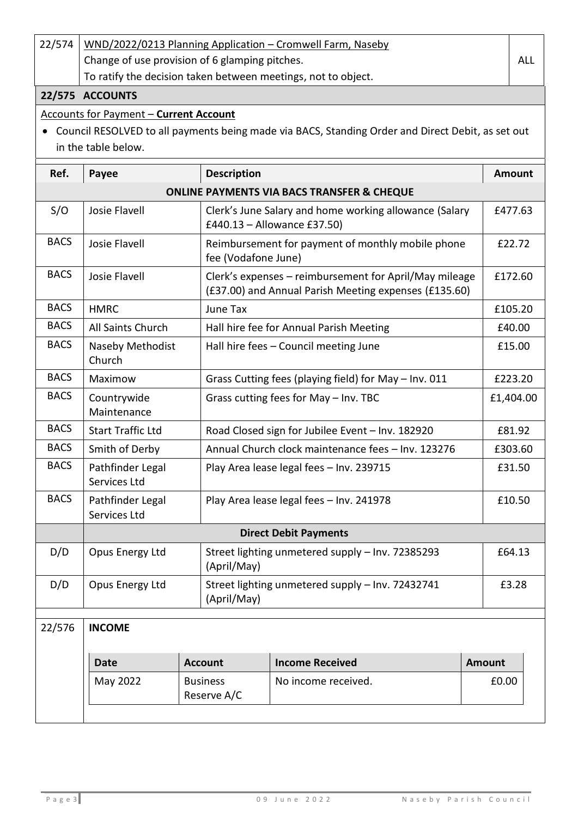| 22/574      | WND/2022/0213 Planning Application - Cromwell Farm, Naseby    |  |                                                                                                                 |                                                                                                   |               |               |  |
|-------------|---------------------------------------------------------------|--|-----------------------------------------------------------------------------------------------------------------|---------------------------------------------------------------------------------------------------|---------------|---------------|--|
|             | Change of use provision of 6 glamping pitches.                |  |                                                                                                                 |                                                                                                   |               | <b>ALL</b>    |  |
|             | To ratify the decision taken between meetings, not to object. |  |                                                                                                                 |                                                                                                   |               |               |  |
|             | 22/575 ACCOUNTS                                               |  |                                                                                                                 |                                                                                                   |               |               |  |
|             | <b>Accounts for Payment - Current Account</b>                 |  |                                                                                                                 |                                                                                                   |               |               |  |
|             |                                                               |  |                                                                                                                 | Council RESOLVED to all payments being made via BACS, Standing Order and Direct Debit, as set out |               |               |  |
|             | in the table below.                                           |  |                                                                                                                 |                                                                                                   |               |               |  |
| Ref.        | Payee                                                         |  | <b>Description</b>                                                                                              |                                                                                                   |               | <b>Amount</b> |  |
|             |                                                               |  |                                                                                                                 | <b>ONLINE PAYMENTS VIA BACS TRANSFER &amp; CHEQUE</b>                                             |               |               |  |
| S/O         | Josie Flavell                                                 |  |                                                                                                                 | Clerk's June Salary and home working allowance (Salary<br>£440.13 - Allowance £37.50)             |               | £477.63       |  |
| <b>BACS</b> | Josie Flavell                                                 |  | Reimbursement for payment of monthly mobile phone<br>fee (Vodafone June)                                        |                                                                                                   |               | £22.72        |  |
| <b>BACS</b> | Josie Flavell                                                 |  | Clerk's expenses - reimbursement for April/May mileage<br>(£37.00) and Annual Parish Meeting expenses (£135.60) |                                                                                                   |               | £172.60       |  |
| <b>BACS</b> | <b>HMRC</b>                                                   |  | June Tax                                                                                                        |                                                                                                   |               | £105.20       |  |
| <b>BACS</b> | All Saints Church                                             |  | Hall hire fee for Annual Parish Meeting                                                                         |                                                                                                   |               | £40.00        |  |
| <b>BACS</b> | Naseby Methodist<br>Church                                    |  | Hall hire fees - Council meeting June                                                                           |                                                                                                   |               | £15.00        |  |
| <b>BACS</b> | Maximow                                                       |  | Grass Cutting fees (playing field) for May - Inv. 011                                                           |                                                                                                   |               | £223.20       |  |
| <b>BACS</b> | Countrywide<br>Maintenance                                    |  | Grass cutting fees for May - Inv. TBC                                                                           |                                                                                                   |               | £1,404.00     |  |
| <b>BACS</b> | <b>Start Traffic Ltd</b>                                      |  | Road Closed sign for Jubilee Event - Inv. 182920                                                                |                                                                                                   |               | £81.92        |  |
| <b>BACS</b> | Smith of Derby                                                |  | Annual Church clock maintenance fees - Inv. 123276                                                              |                                                                                                   |               | £303.60       |  |
| <b>BACS</b> | Pathfinder Legal<br>Services Ltd                              |  | Play Area lease legal fees - Inv. 239715                                                                        |                                                                                                   |               | £31.50        |  |
| <b>BACS</b> | Pathfinder Legal<br>Services Ltd                              |  | Play Area lease legal fees - Inv. 241978                                                                        |                                                                                                   |               | £10.50        |  |
|             | <b>Direct Debit Payments</b>                                  |  |                                                                                                                 |                                                                                                   |               |               |  |
| D/D         | Opus Energy Ltd                                               |  | Street lighting unmetered supply - Inv. 72385293<br>(April/May)                                                 |                                                                                                   |               | £64.13        |  |
| D/D         | Opus Energy Ltd                                               |  | Street lighting unmetered supply - Inv. 72432741<br>(April/May)                                                 |                                                                                                   |               | £3.28         |  |
| 22/576      | <b>INCOME</b>                                                 |  |                                                                                                                 |                                                                                                   |               |               |  |
|             | <b>Account</b>                                                |  |                                                                                                                 |                                                                                                   |               |               |  |
|             | Date                                                          |  |                                                                                                                 | <b>Income Received</b>                                                                            | <b>Amount</b> |               |  |
|             | May 2022                                                      |  | <b>Business</b><br>Reserve A/C                                                                                  | No income received.                                                                               | £0.00         |               |  |